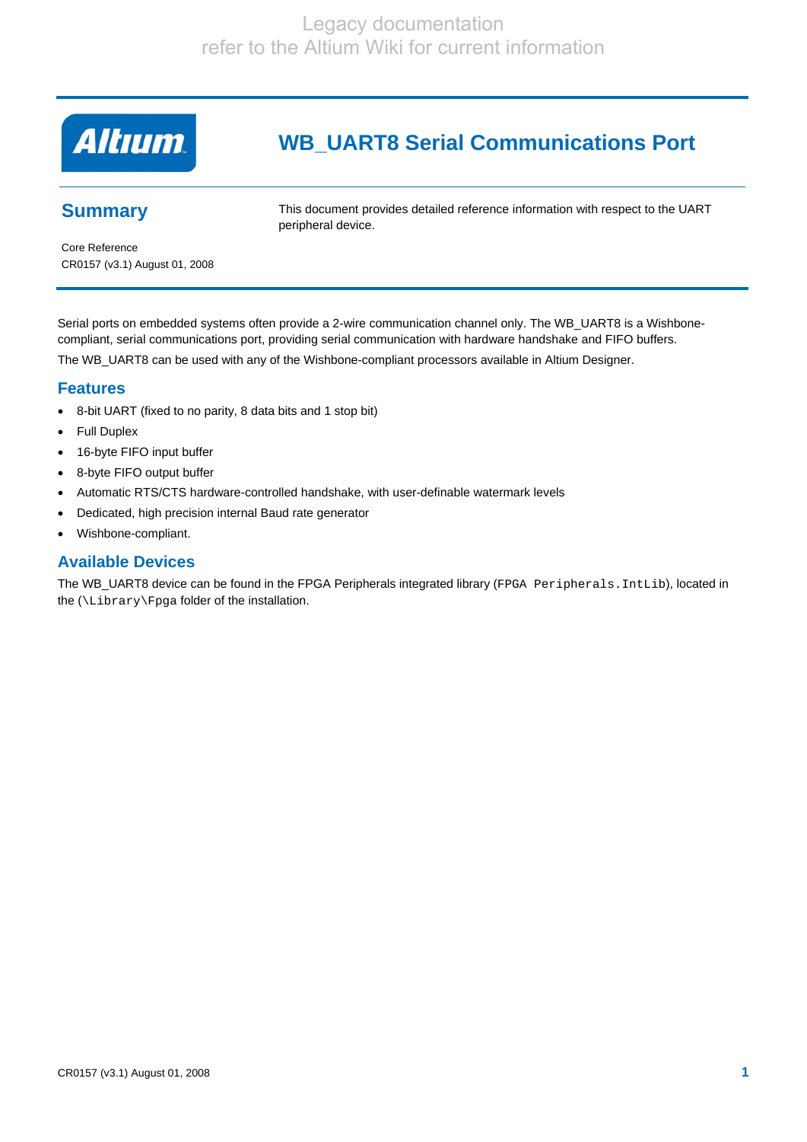

# **WB\_UART8 Serial Communications Port**

# **Summary**

This document provides detailed reference information with respect to the UART peripheral device.

Core Reference CR0157 (v3.1) August 01, 2008

Serial ports on embedded systems often provide a 2-wire communication channel only. The WB\_UART8 is a Wishbonecompliant, serial communications port, providing serial communication with hardware handshake and FIFO buffers. The WB\_UART8 can be used with any of the Wishbone-compliant processors available in Altium Designer.

### **Features**

- 8-bit UART (fixed to no parity, 8 data bits and 1 stop bit)
- Full Duplex
- 16-byte FIFO input buffer
- 8-byte FIFO output buffer
- Automatic RTS/CTS hardware-controlled handshake, with user-definable watermark levels
- Dedicated, high precision internal Baud rate generator
- Wishbone-compliant.

### **Available Devices**

The WB\_UART8 device can be found in the FPGA Peripherals integrated library (FPGA Peripherals.IntLib), located in the (\Library\Fpga folder of the installation.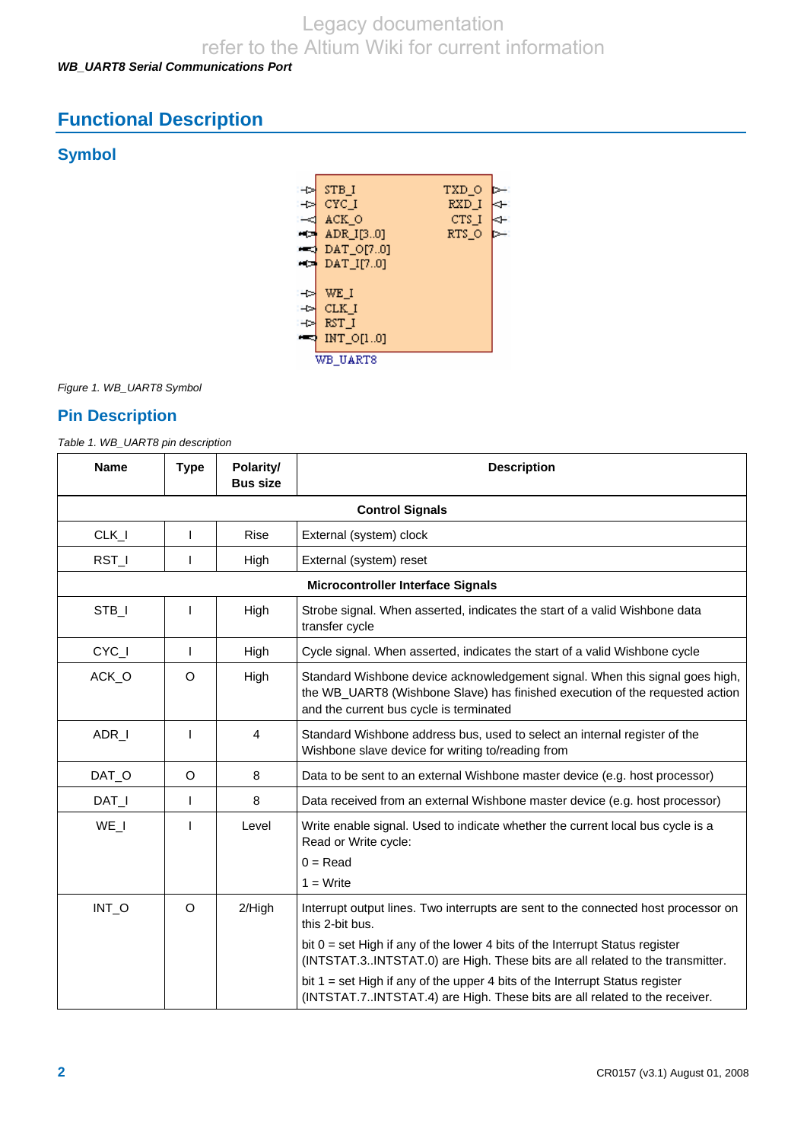# *WB\_UART8 Serial Communications Port*

# **Functional Description**

# **Symbol**



*Figure 1. WB\_UART8 Symbol* 

# **Pin Description**

*Table 1. WB\_UART8 pin description* 

| <b>Name</b> | <b>Type</b>            | Polarity/<br><b>Bus size</b> | <b>Description</b>                                                                                                                                                                                      |  |  |  |
|-------------|------------------------|------------------------------|---------------------------------------------------------------------------------------------------------------------------------------------------------------------------------------------------------|--|--|--|
|             | <b>Control Signals</b> |                              |                                                                                                                                                                                                         |  |  |  |
| $CLK_l$     | T                      | <b>Rise</b>                  | External (system) clock                                                                                                                                                                                 |  |  |  |
| RST_I       | ı                      | High                         | External (system) reset                                                                                                                                                                                 |  |  |  |
|             |                        |                              | <b>Microcontroller Interface Signals</b>                                                                                                                                                                |  |  |  |
| STB_I       | ı                      | High                         | Strobe signal. When asserted, indicates the start of a valid Wishbone data<br>transfer cycle                                                                                                            |  |  |  |
| CYC_I       | T                      | High                         | Cycle signal. When asserted, indicates the start of a valid Wishbone cycle                                                                                                                              |  |  |  |
| ACK O       | $\circ$                | High                         | Standard Wishbone device acknowledgement signal. When this signal goes high,<br>the WB_UART8 (Wishbone Slave) has finished execution of the requested action<br>and the current bus cycle is terminated |  |  |  |
| ADR_I       | T                      | $\overline{4}$               | Standard Wishbone address bus, used to select an internal register of the<br>Wishbone slave device for writing to/reading from                                                                          |  |  |  |
| DAT_O       | O                      | 8                            | Data to be sent to an external Wishbone master device (e.g. host processor)                                                                                                                             |  |  |  |
| DAT_I       | $\mathbf{I}$           | 8                            | Data received from an external Wishbone master device (e.g. host processor)                                                                                                                             |  |  |  |
| WE I        | J                      | Level                        | Write enable signal. Used to indicate whether the current local bus cycle is a<br>Read or Write cycle:                                                                                                  |  |  |  |
|             |                        |                              | $0 = Read$<br>$1 = Write$                                                                                                                                                                               |  |  |  |
| INT_O       | $\circ$                | 2/High                       | Interrupt output lines. Two interrupts are sent to the connected host processor on<br>this 2-bit bus.                                                                                                   |  |  |  |
|             |                        |                              | bit $0 = set$ High if any of the lower 4 bits of the Interrupt Status register<br>(INTSTAT.3INTSTAT.0) are High. These bits are all related to the transmitter.                                         |  |  |  |
|             |                        |                              | bit $1 = set High if any of the upper 4 bits of the interrupt Status register$<br>(INTSTAT.7INTSTAT.4) are High. These bits are all related to the receiver.                                            |  |  |  |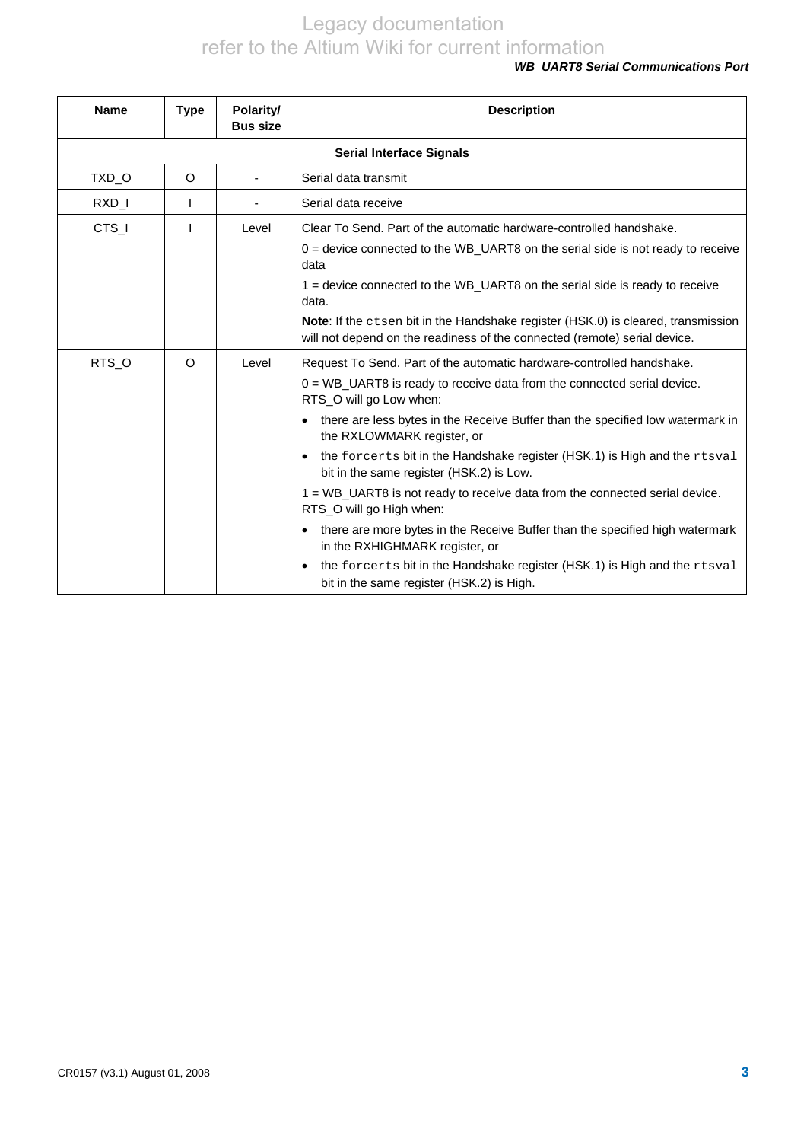#### *WB\_UART8 Serial Communications Port*

| <b>Name</b>                     | <b>Type</b> | Polarity/<br><b>Bus size</b> | <b>Description</b>                                                                                                                                             |  |
|---------------------------------|-------------|------------------------------|----------------------------------------------------------------------------------------------------------------------------------------------------------------|--|
| <b>Serial Interface Signals</b> |             |                              |                                                                                                                                                                |  |
| TXD_O                           | $\circ$     |                              | Serial data transmit                                                                                                                                           |  |
| RXD_I                           | I           |                              | Serial data receive                                                                                                                                            |  |
| CTS_I                           | J           | Level                        | Clear To Send. Part of the automatic hardware-controlled handshake.                                                                                            |  |
|                                 |             |                              | $0 =$ device connected to the WB_UART8 on the serial side is not ready to receive<br>data                                                                      |  |
|                                 |             |                              | $1 =$ device connected to the WB_UART8 on the serial side is ready to receive<br>data.                                                                         |  |
|                                 |             |                              | Note: If the ctsen bit in the Handshake register (HSK.0) is cleared, transmission<br>will not depend on the readiness of the connected (remote) serial device. |  |
| RTS_O                           | $\circ$     | Level                        | Request To Send. Part of the automatic hardware-controlled handshake.                                                                                          |  |
|                                 |             |                              | 0 = WB_UART8 is ready to receive data from the connected serial device.<br>RTS_O will go Low when:                                                             |  |
|                                 |             |                              | there are less bytes in the Receive Buffer than the specified low watermark in<br>the RXLOWMARK register, or                                                   |  |
|                                 |             |                              | the forcerts bit in the Handshake register (HSK.1) is High and the rtsval<br>$\bullet$<br>bit in the same register (HSK.2) is Low.                             |  |
|                                 |             |                              | $1 = WB$ UART8 is not ready to receive data from the connected serial device.<br>RTS O will go High when:                                                      |  |
|                                 |             |                              | there are more bytes in the Receive Buffer than the specified high watermark<br>in the RXHIGHMARK register, or                                                 |  |
|                                 |             |                              | the forcerts bit in the Handshake register (HSK.1) is High and the rtsval<br>$\bullet$<br>bit in the same register (HSK.2) is High.                            |  |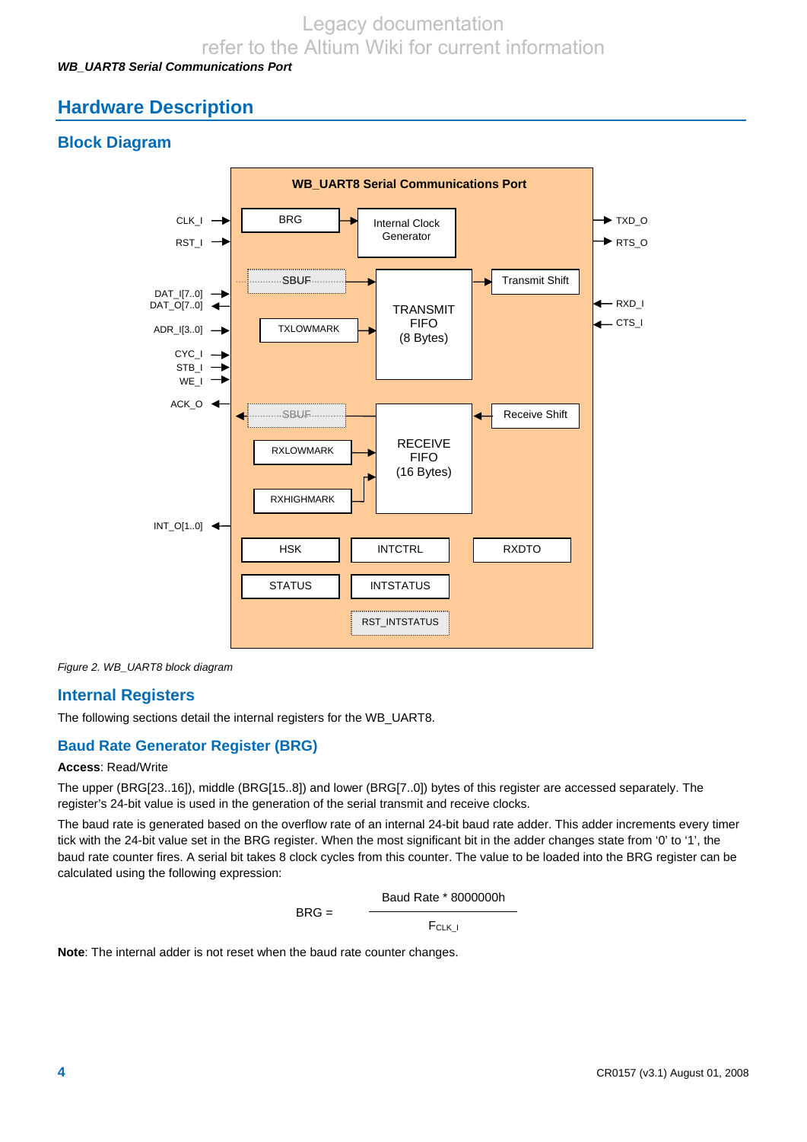### *WB\_UART8 Serial Communications Port*

# **Hardware Description**

# **Block Diagram**



*Figure 2. WB\_UART8 block diagram* 

# **Internal Registers**

The following sections detail the internal registers for the WB\_UART8.

# **Baud Rate Generator Register (BRG)**

#### **Access**: Read/Write

The upper (BRG[23..16]), middle (BRG[15..8]) and lower (BRG[7..0]) bytes of this register are accessed separately. The register's 24-bit value is used in the generation of the serial transmit and receive clocks.

The baud rate is generated based on the overflow rate of an internal 24-bit baud rate adder. This adder increments every timer tick with the 24-bit value set in the BRG register. When the most significant bit in the adder changes state from '0' to '1', the baud rate counter fires. A serial bit takes 8 clock cycles from this counter. The value to be loaded into the BRG register can be calculated using the following expression:

$$
BRG = \frac{Baud Rate * 8000000h}{F_{CLK_l}}
$$

**Note**: The internal adder is not reset when the baud rate counter changes.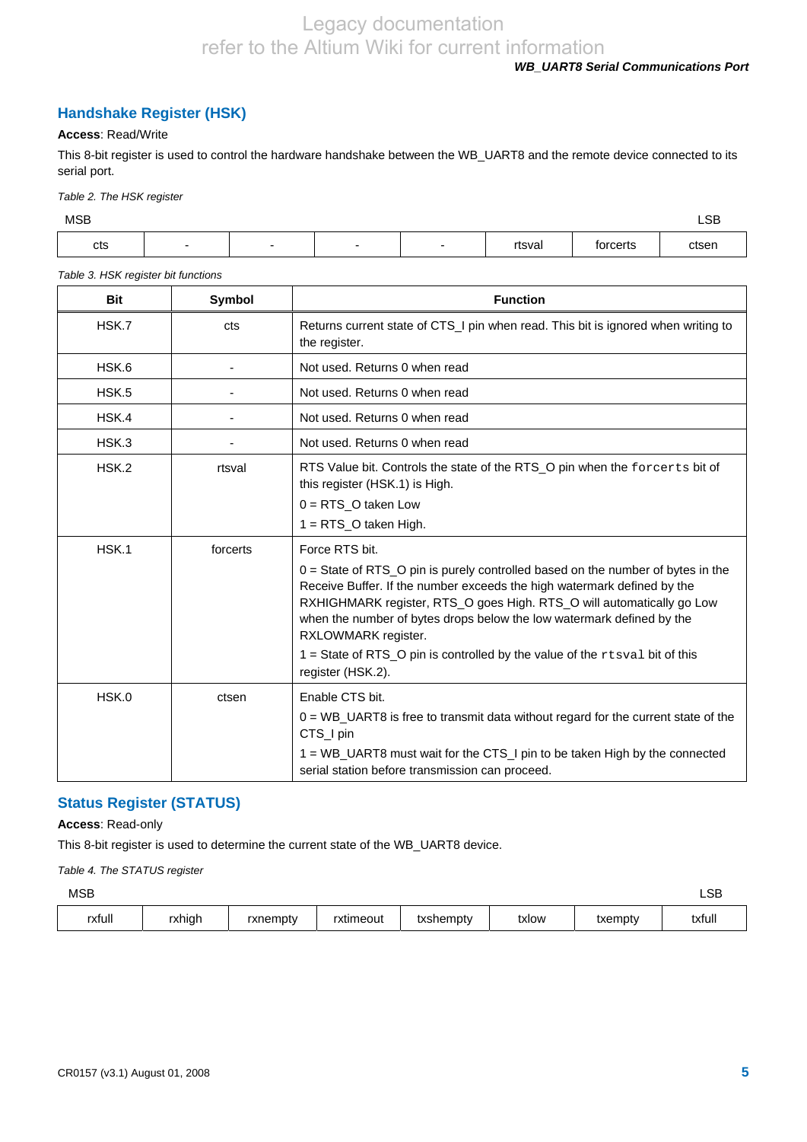### *WB\_UART8 Serial Communications Port*

# **Handshake Register (HSK)**

#### **Access**: Read/Write

This 8-bit register is used to control the hardware handshake between the WB\_UART8 and the remote device connected to its serial port.

*Table 2. The HSK register* 

| <b>MSB</b> |                          |                          |        |          | LSB<br>____ |
|------------|--------------------------|--------------------------|--------|----------|-------------|
| cts        | $\overline{\phantom{0}}$ | $\overline{\phantom{0}}$ | rtsval | torcerts | ctsen       |

#### *Table 3. HSK register bit functions*

| <b>Bit</b> | Symbol   | <b>Function</b>                                                                                                                                                                                                                                                                                                                                                                                                                                                |
|------------|----------|----------------------------------------------------------------------------------------------------------------------------------------------------------------------------------------------------------------------------------------------------------------------------------------------------------------------------------------------------------------------------------------------------------------------------------------------------------------|
| HSK.7      | cts      | Returns current state of CTS_I pin when read. This bit is ignored when writing to<br>the register.                                                                                                                                                                                                                                                                                                                                                             |
| HSK.6      |          | Not used. Returns 0 when read                                                                                                                                                                                                                                                                                                                                                                                                                                  |
| HSK.5      |          | Not used. Returns 0 when read                                                                                                                                                                                                                                                                                                                                                                                                                                  |
| HSK.4      |          | Not used. Returns 0 when read                                                                                                                                                                                                                                                                                                                                                                                                                                  |
| HSK.3      |          | Not used. Returns 0 when read                                                                                                                                                                                                                                                                                                                                                                                                                                  |
| HSK.2      | rtsval   | RTS Value bit. Controls the state of the RTS_O pin when the forcerts bit of<br>this register (HSK.1) is High.<br>$0 = RTS$ O taken Low<br>$1 = RTS_O$ taken High.                                                                                                                                                                                                                                                                                              |
| HSK.1      | forcerts | Force RTS bit.<br>$0 = State$ of RTS_O pin is purely controlled based on the number of bytes in the<br>Receive Buffer. If the number exceeds the high watermark defined by the<br>RXHIGHMARK register, RTS_O goes High. RTS_O will automatically go Low<br>when the number of bytes drops below the low watermark defined by the<br>RXLOWMARK register.<br>1 = State of RTS_O pin is controlled by the value of the $r$ tsval bit of this<br>register (HSK.2). |
| HSK.0      | ctsen    | Enable CTS bit.<br>$0 = WB$ UART8 is free to transmit data without regard for the current state of the<br>CTS_I pin<br>1 = WB_UART8 must wait for the CTS_I pin to be taken High by the connected<br>serial station before transmission can proceed.                                                                                                                                                                                                           |

### **Status Register (STATUS)**

#### **Access**: Read-only

This 8-bit register is used to determine the current state of the WB\_UART8 device.

*Table 4. The STATUS register* 

| <b>MSB</b> |        |          |           |           |       |         | LSB    |
|------------|--------|----------|-----------|-----------|-------|---------|--------|
| rxfull     | rxhigh | rxnempty | rxtimeout | txshempty | txlow | txempty | txfull |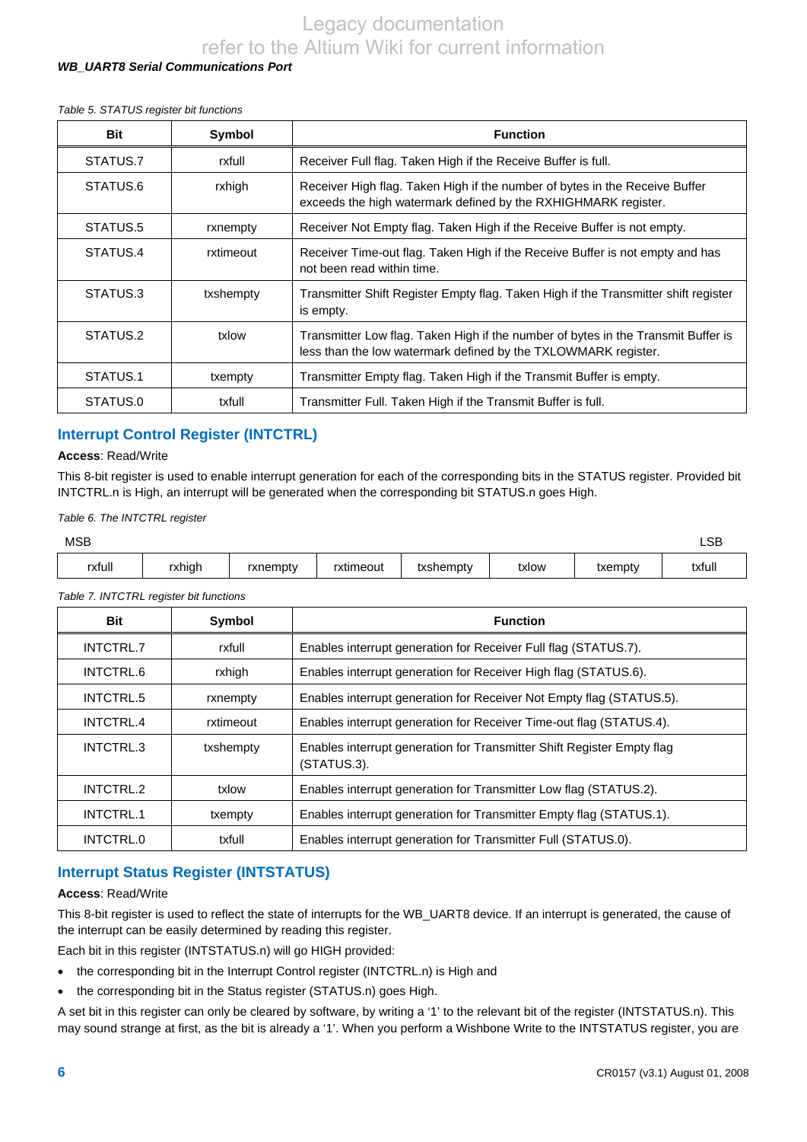#### *WB\_UART8 Serial Communications Port*

#### *Table 5. STATUS register bit functions*

| <b>Bit</b> | Symbol    | <b>Function</b>                                                                                                                                     |
|------------|-----------|-----------------------------------------------------------------------------------------------------------------------------------------------------|
| STATUS.7   | rxfull    | Receiver Full flag. Taken High if the Receive Buffer is full.                                                                                       |
| STATUS.6   | rxhigh    | Receiver High flag. Taken High if the number of bytes in the Receive Buffer<br>exceeds the high watermark defined by the RXHIGHMARK register.       |
| STATUS.5   | rxnempty  | Receiver Not Empty flag. Taken High if the Receive Buffer is not empty.                                                                             |
| STATUS.4   | rxtimeout | Receiver Time-out flag. Taken High if the Receive Buffer is not empty and has<br>not been read within time.                                         |
| STATUS.3   | txshempty | Transmitter Shift Register Empty flag. Taken High if the Transmitter shift register<br>is empty.                                                    |
| STATUS.2   | txlow     | Transmitter Low flag. Taken High if the number of bytes in the Transmit Buffer is<br>less than the low watermark defined by the TXLOWMARK register. |
| STATUS.1   | txempty   | Transmitter Empty flag. Taken High if the Transmit Buffer is empty.                                                                                 |
| STATUS.0   | txfull    | Transmitter Full. Taken High if the Transmit Buffer is full.                                                                                        |

#### **Interrupt Control Register (INTCTRL)**

#### **Access**: Read/Write

This 8-bit register is used to enable interrupt generation for each of the corresponding bits in the STATUS register. Provided bit INTCTRL.n is High, an interrupt will be generated when the corresponding bit STATUS.n goes High.

*Table 6. The INTCTRL register* 

| <b>MSB</b> |        |          |           |           |       |         | LSB    |
|------------|--------|----------|-----------|-----------|-------|---------|--------|
| rxfull     | rxhigh | rxnempty | rxtimeout | txshempty | txlow | txempty | txfull |

#### *Table 7. INTCTRL register bit functions*

| <b>Bit</b> | Symbol    | <b>Function</b>                                                                       |
|------------|-----------|---------------------------------------------------------------------------------------|
| INTCTRL.7  | rxfull    | Enables interrupt generation for Receiver Full flag (STATUS.7).                       |
| INTCTRL.6  | rxhigh    | Enables interrupt generation for Receiver High flag (STATUS.6).                       |
| INTCTRL.5  | rxnempty  | Enables interrupt generation for Receiver Not Empty flag (STATUS.5).                  |
| INTCTRL.4  | rxtimeout | Enables interrupt generation for Receiver Time-out flag (STATUS.4).                   |
| INTCTRL.3  | txshempty | Enables interrupt generation for Transmitter Shift Register Empty flag<br>(STATUS.3). |
| INTCTRL.2  | txlow     | Enables interrupt generation for Transmitter Low flag (STATUS.2).                     |
| INTCTRL.1  | txempty   | Enables interrupt generation for Transmitter Empty flag (STATUS.1).                   |
| INTCTRL.0  | txfull    | Enables interrupt generation for Transmitter Full (STATUS.0).                         |

#### **Interrupt Status Register (INTSTATUS)**

#### **Access**: Read/Write

This 8-bit register is used to reflect the state of interrupts for the WB\_UART8 device. If an interrupt is generated, the cause of the interrupt can be easily determined by reading this register.

Each bit in this register (INTSTATUS.n) will go HIGH provided:

- the corresponding bit in the Interrupt Control register (INTCTRL.n) is High and
- the corresponding bit in the Status register (STATUS.n) goes High.

A set bit in this register can only be cleared by software, by writing a '1' to the relevant bit of the register (INTSTATUS.n). This may sound strange at first, as the bit is already a '1'. When you perform a Wishbone Write to the INTSTATUS register, you are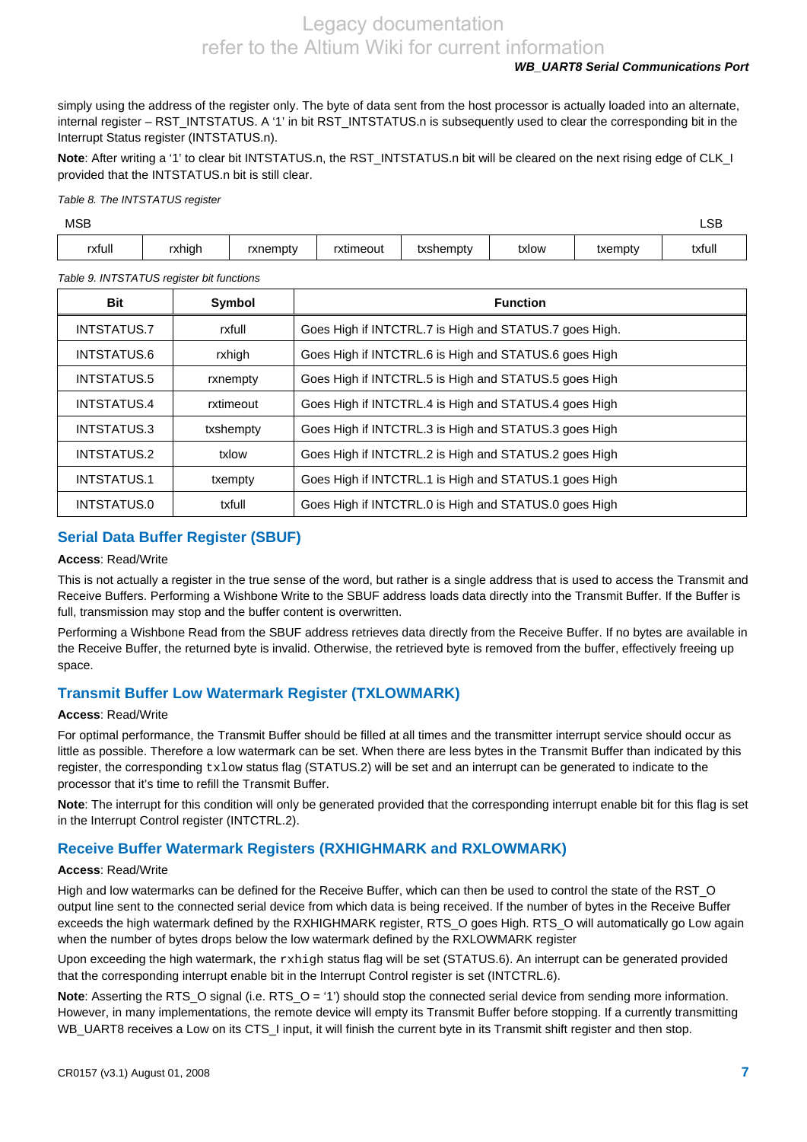#### *WB\_UART8 Serial Communications Port*

simply using the address of the register only. The byte of data sent from the host processor is actually loaded into an alternate, internal register – RST\_INTSTATUS. A '1' in bit RST\_INTSTATUS.n is subsequently used to clear the corresponding bit in the Interrupt Status register (INTSTATUS.n).

Note: After writing a '1' to clear bit INTSTATUS.n, the RST\_INTSTATUS.n bit will be cleared on the next rising edge of CLK\_I provided that the INTSTATUS.n bit is still clear.

#### *Table 8. The INTSTATUS register*

| <b>MSB</b> |        |          |           |           |       |         | LSB    |
|------------|--------|----------|-----------|-----------|-------|---------|--------|
| rxfull     | rxhigh | rxnempty | rxtimeout | txshempty | txlow | txempty | txfull |

#### *Table 9. INTSTATUS register bit functions*

| Bit                | Symbol    | <b>Function</b>                                        |
|--------------------|-----------|--------------------------------------------------------|
| INTSTATUS.7        | rxfull    | Goes High if INTCTRL.7 is High and STATUS.7 goes High. |
| <b>INTSTATUS.6</b> | rxhigh    | Goes High if INTCTRL.6 is High and STATUS.6 goes High  |
| INTSTATUS.5        | rxnempty  | Goes High if INTCTRL.5 is High and STATUS.5 goes High  |
| INTSTATUS.4        | rxtimeout | Goes High if INTCTRL.4 is High and STATUS.4 goes High  |
| INTSTATUS.3        | txshempty | Goes High if INTCTRL.3 is High and STATUS.3 goes High  |
| INTSTATUS.2        | txlow     | Goes High if INTCTRL.2 is High and STATUS.2 goes High  |
| <b>INTSTATUS.1</b> | txempty   | Goes High if INTCTRL.1 is High and STATUS.1 goes High  |
| INTSTATUS.0        | txfull    | Goes High if INTCTRL.0 is High and STATUS.0 goes High  |

# **Serial Data Buffer Register (SBUF)**

#### **Access**: Read/Write

This is not actually a register in the true sense of the word, but rather is a single address that is used to access the Transmit and Receive Buffers. Performing a Wishbone Write to the SBUF address loads data directly into the Transmit Buffer. If the Buffer is full, transmission may stop and the buffer content is overwritten.

Performing a Wishbone Read from the SBUF address retrieves data directly from the Receive Buffer. If no bytes are available in the Receive Buffer, the returned byte is invalid. Otherwise, the retrieved byte is removed from the buffer, effectively freeing up space.

### **Transmit Buffer Low Watermark Register (TXLOWMARK)**

#### **Access**: Read/Write

For optimal performance, the Transmit Buffer should be filled at all times and the transmitter interrupt service should occur as little as possible. Therefore a low watermark can be set. When there are less bytes in the Transmit Buffer than indicated by this register, the corresponding  $txlow$  status flag (STATUS.2) will be set and an interrupt can be generated to indicate to the processor that it's time to refill the Transmit Buffer.

**Note**: The interrupt for this condition will only be generated provided that the corresponding interrupt enable bit for this flag is set in the Interrupt Control register (INTCTRL.2).

### **Receive Buffer Watermark Registers (RXHIGHMARK and RXLOWMARK)**

#### **Access**: Read/Write

High and low watermarks can be defined for the Receive Buffer, which can then be used to control the state of the RST\_O output line sent to the connected serial device from which data is being received. If the number of bytes in the Receive Buffer exceeds the high watermark defined by the RXHIGHMARK register, RTS\_O goes High. RTS\_O will automatically go Low again when the number of bytes drops below the low watermark defined by the RXLOWMARK register

Upon exceeding the high watermark, the  $r$ xhigh status flag will be set (STATUS.6). An interrupt can be generated provided that the corresponding interrupt enable bit in the Interrupt Control register is set (INTCTRL.6).

**Note**: Asserting the RTS\_O signal (i.e. RTS\_O = '1') should stop the connected serial device from sending more information. However, in many implementations, the remote device will empty its Transmit Buffer before stopping. If a currently transmitting WB\_UART8 receives a Low on its CTS\_I input, it will finish the current byte in its Transmit shift register and then stop.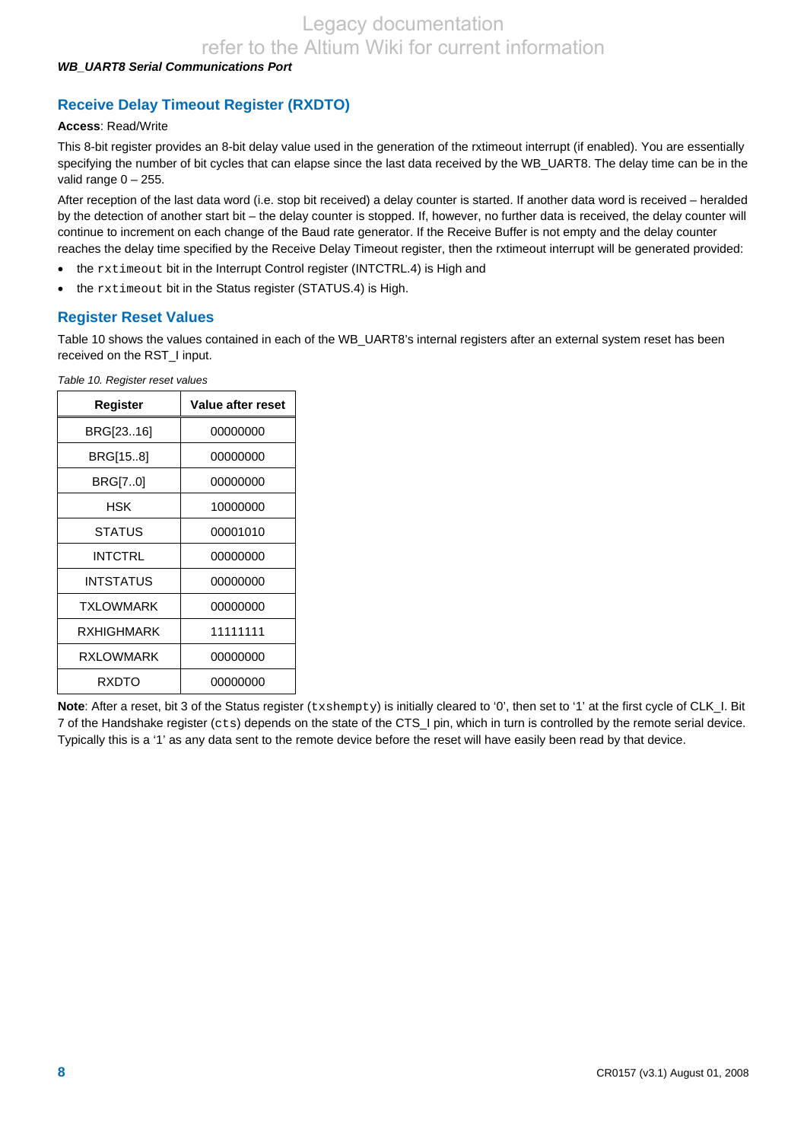#### *WB\_UART8 Serial Communications Port*

# **Receive Delay Timeout Register (RXDTO)**

#### **Access**: Read/Write

This 8-bit register provides an 8-bit delay value used in the generation of the rxtimeout interrupt (if enabled). You are essentially specifying the number of bit cycles that can elapse since the last data received by the WB\_UART8. The delay time can be in the valid range  $0 - 255$ .

After reception of the last data word (i.e. stop bit received) a delay counter is started. If another data word is received – heralded by the detection of another start bit – the delay counter is stopped. If, however, no further data is received, the delay counter will continue to increment on each change of the Baud rate generator. If the Receive Buffer is not empty and the delay counter reaches the delay time specified by the Receive Delay Timeout register, then the rxtimeout interrupt will be generated provided:

- the rxtimeout bit in the Interrupt Control register (INTCTRL.4) is High and
- the rxtimeout bit in the Status register (STATUS.4) is High.

#### **Register Reset Values**

Table 10 shows the values contained in each of the WB\_UART8's internal registers after an external system reset has been received on the RST\_I input.

| Register      | Value after reset |
|---------------|-------------------|
| BRG[2316]     | 00000000          |
| BRG[158]      | 00000000          |
| BRG[70]       | 00000000          |
| HSK           | 10000000          |
| <b>STATUS</b> | 00001010          |
| INTCTRL       | 00000000          |
| INTSTATUS     | 00000000          |
| TXI OWMARK    | 00000000          |
| RXHIGHMARK    | 11111111          |
| RXLOWMARK     | 00000000          |
| RXDTO         | 00000000          |

*Table 10. Register reset values* 

Note: After a reset, bit 3 of the Status register (txshempty) is initially cleared to '0', then set to '1' at the first cycle of CLK\_I. Bit 7 of the Handshake register (cts) depends on the state of the CTS\_I pin, which in turn is controlled by the remote serial device. Typically this is a '1' as any data sent to the remote device before the reset will have easily been read by that device.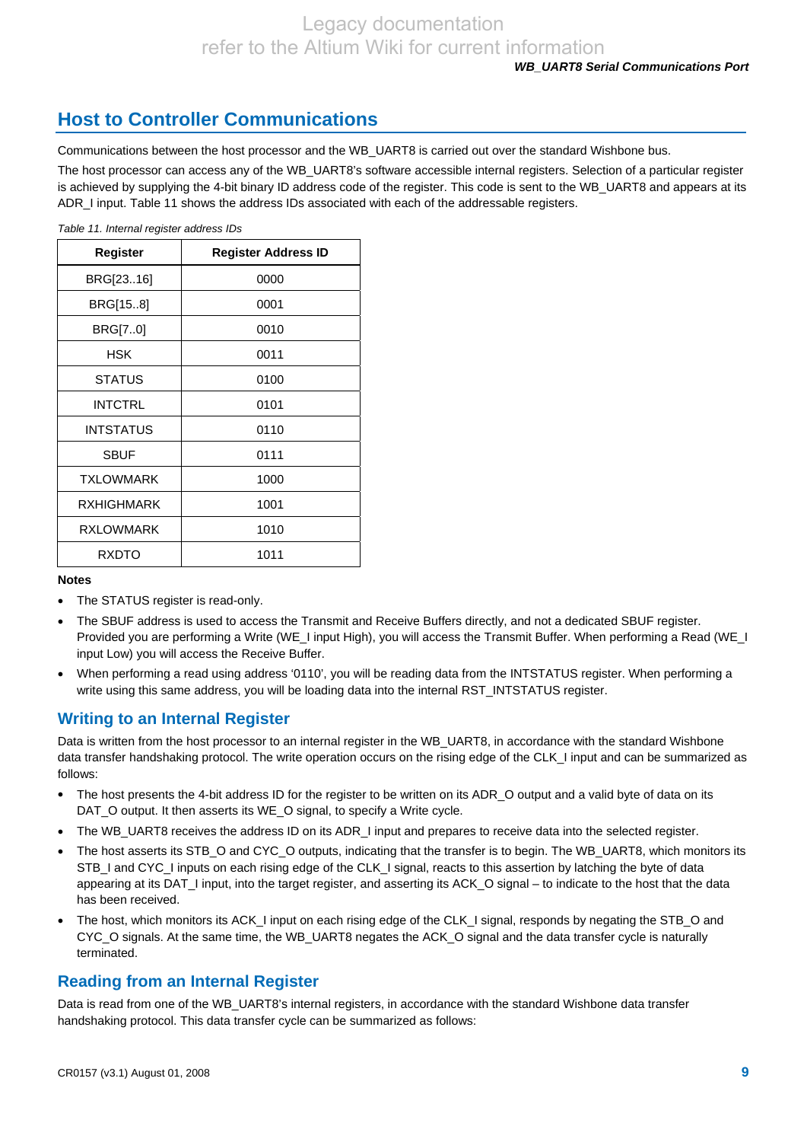# **Host to Controller Communications**

Communications between the host processor and the WB\_UART8 is carried out over the standard Wishbone bus.

The host processor can access any of the WB\_UART8's software accessible internal registers. Selection of a particular register is achieved by supplying the 4-bit binary ID address code of the register. This code is sent to the WB\_UART8 and appears at its ADR\_I input. Table 11 shows the address IDs associated with each of the addressable registers.

*Table 11. Internal register address IDs* 

| Register         | Register Address ID |
|------------------|---------------------|
| BRG[2316]        | 0000                |
| BRG[158]         | 0001                |
| BRG[70]          | 0010                |
| HSK              | 0011                |
| <b>STATUS</b>    | 0100                |
| <b>INTCTRL</b>   | 0101                |
| <b>INTSTATUS</b> | 0110                |
| <b>SBUF</b>      | 0111                |
| <b>TXLOWMARK</b> | 1000                |
| RXHIGHMARK       | 1001                |
| <b>RXLOWMARK</b> | 1010                |
| <b>RXDTO</b>     | 1011                |

#### **Notes**

- The STATUS register is read-only.
- The SBUF address is used to access the Transmit and Receive Buffers directly, and not a dedicated SBUF register. Provided you are performing a Write (WE\_I input High), you will access the Transmit Buffer. When performing a Read (WE\_I input Low) you will access the Receive Buffer.
- When performing a read using address '0110', you will be reading data from the INTSTATUS register. When performing a write using this same address, you will be loading data into the internal RST\_INTSTATUS register.

# **Writing to an Internal Register**

Data is written from the host processor to an internal register in the WB\_UART8, in accordance with the standard Wishbone data transfer handshaking protocol. The write operation occurs on the rising edge of the CLK I input and can be summarized as follows:

- The host presents the 4-bit address ID for the register to be written on its ADR\_O output and a valid byte of data on its DAT O output. It then asserts its WE O signal, to specify a Write cycle.
- The WB\_UART8 receives the address ID on its ADR\_I input and prepares to receive data into the selected register.
- The host asserts its STB\_O and CYC\_O outputs, indicating that the transfer is to begin. The WB\_UART8, which monitors its STB\_I and CYC\_I inputs on each rising edge of the CLK\_I signal, reacts to this assertion by latching the byte of data appearing at its DAT\_I input, into the target register, and asserting its ACK\_O signal – to indicate to the host that the data has been received.
- The host, which monitors its ACK\_I input on each rising edge of the CLK\_I signal, responds by negating the STB\_O and CYC\_O signals. At the same time, the WB\_UART8 negates the ACK\_O signal and the data transfer cycle is naturally terminated.

### **Reading from an Internal Register**

Data is read from one of the WB\_UART8's internal registers, in accordance with the standard Wishbone data transfer handshaking protocol. This data transfer cycle can be summarized as follows: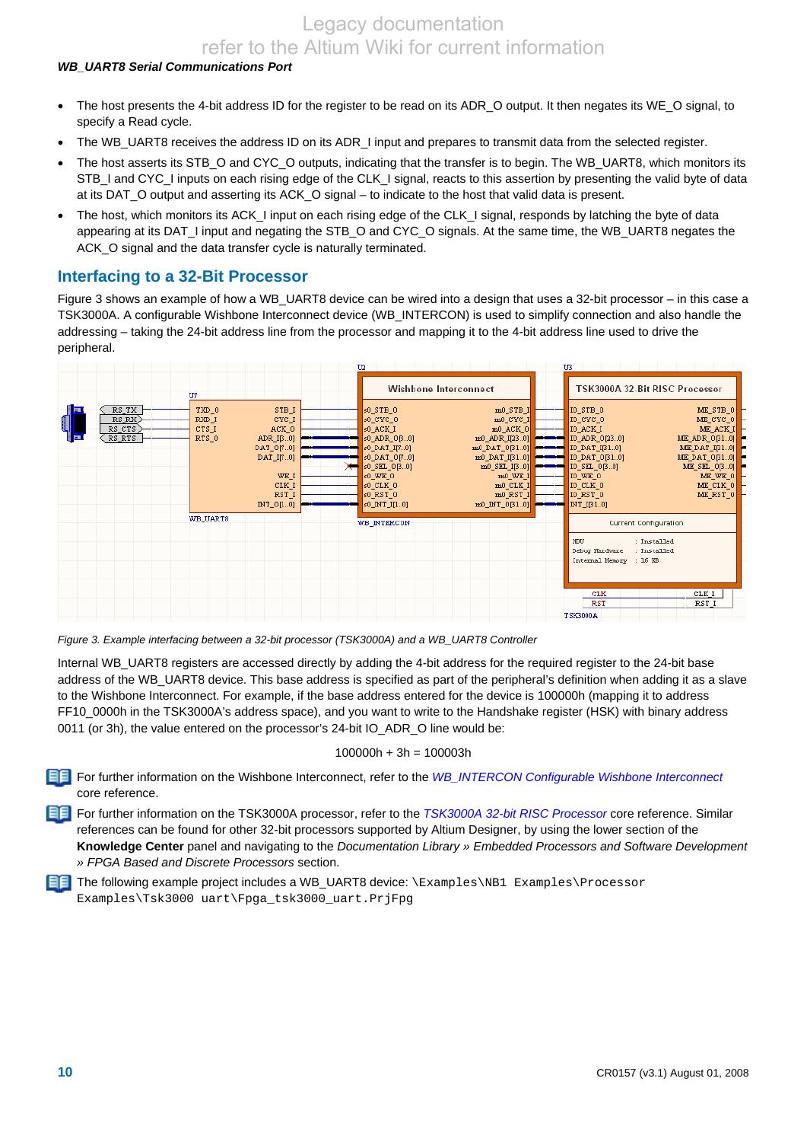#### *WB\_UART8 Serial Communications Port*

- The host presents the 4-bit address ID for the register to be read on its ADR\_O output. It then negates its WE\_O signal, to specify a Read cycle.
- The WB\_UART8 receives the address ID on its ADR\_I input and prepares to transmit data from the selected register.
- The host asserts its STB\_O and CYC\_O outputs, indicating that the transfer is to begin. The WB\_UART8, which monitors its STB\_I and CYC\_I inputs on each rising edge of the CLK\_I signal, reacts to this assertion by presenting the valid byte of data at its DAT\_O output and asserting its ACK\_O signal – to indicate to the host that valid data is present.
- The host, which monitors its ACK\_I input on each rising edge of the CLK\_I signal, responds by latching the byte of data appearing at its DAT. I input and negating the STB\_O and CYC\_O signals. At the same time, the WB\_UART8 negates the ACK O signal and the data transfer cycle is naturally terminated.

# **Interfacing to a 32-Bit Processor**

Figure 3 shows an example of how a WB\_UART8 device can be wired into a design that uses a 32-bit processor – in this case a TSK3000A. A configurable Wishbone Interconnect device (WB\_INTERCON) is used to simplify connection and also handle the addressing – taking the 24-bit address line from the processor and mapping it to the 4-bit address line used to drive the peripheral.





Internal WB\_UART8 registers are accessed directly by adding the 4-bit address for the required register to the 24-bit base address of the WB\_UART8 device. This base address is specified as part of the peripheral's definition when adding it as a slave to the Wishbone Interconnect. For example, if the base address entered for the device is 100000h (mapping it to address FF10\_0000h in the TSK3000A's address space), and you want to write to the Handshake register (HSK) with binary address 0011 (or 3h), the value entered on the processor's 24-bit IO\_ADR\_O line would be:

#### $100000h + 3h = 100003h$

For further information on the Wishbone Interconnect, refer to the *WB\_INTERCON Configurable Wishbone Interconnect* core reference.

For further information on the TSK3000A processor, refer to the *TSK3000A 32-bit RISC Processor* core reference. Similar references can be found for other 32-bit processors supported by Altium Designer, by using the lower section of the **Knowledge Center** panel and navigating to the *Documentation Library » Embedded Processors and Software Development » FPGA Based and Discrete Processors* section.

The following example project includes a WB\_UART8 device: \Examples\NB1 Examples\Processor Examples\Tsk3000 uart\Fpga\_tsk3000\_uart.PrjFpg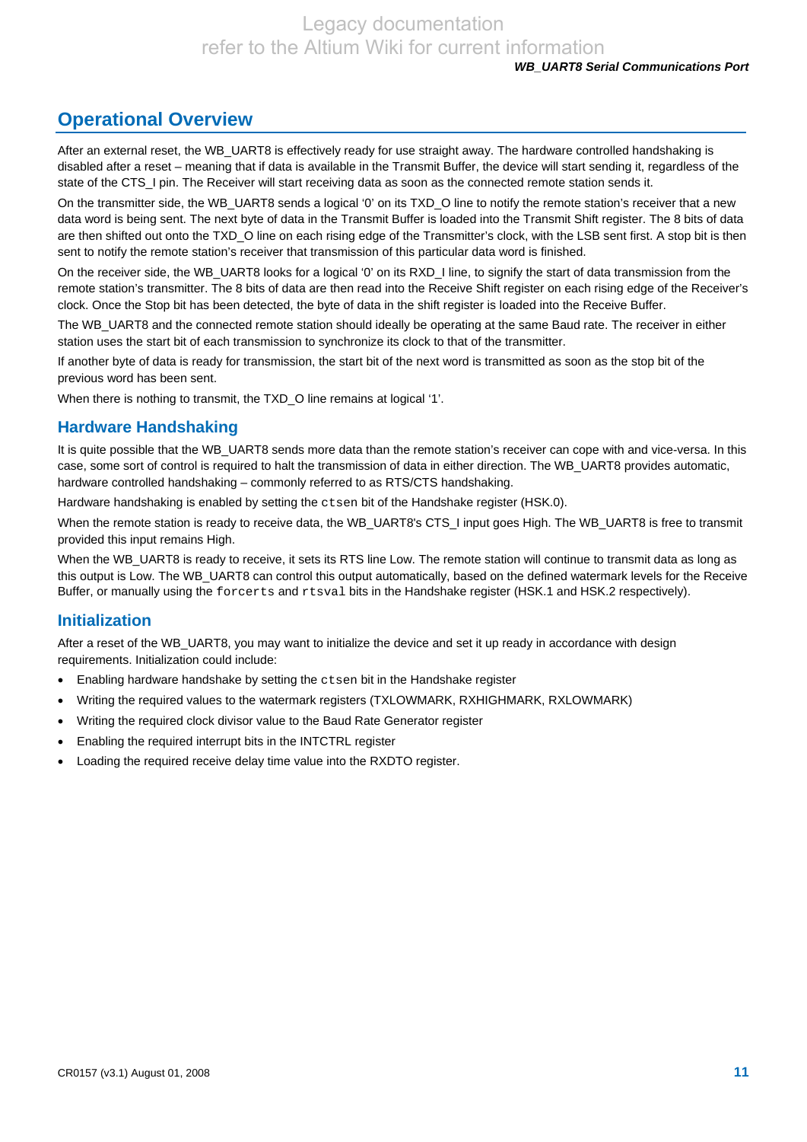# **Operational Overview**

After an external reset, the WB\_UART8 is effectively ready for use straight away. The hardware controlled handshaking is disabled after a reset – meaning that if data is available in the Transmit Buffer, the device will start sending it, regardless of the state of the CTS I pin. The Receiver will start receiving data as soon as the connected remote station sends it.

On the transmitter side, the WB\_UART8 sends a logical '0' on its TXD\_O line to notify the remote station's receiver that a new data word is being sent. The next byte of data in the Transmit Buffer is loaded into the Transmit Shift register. The 8 bits of data are then shifted out onto the TXD O line on each rising edge of the Transmitter's clock, with the LSB sent first. A stop bit is then sent to notify the remote station's receiver that transmission of this particular data word is finished.

On the receiver side, the WB\_UART8 looks for a logical '0' on its RXD\_I line, to signify the start of data transmission from the remote station's transmitter. The 8 bits of data are then read into the Receive Shift register on each rising edge of the Receiver's clock. Once the Stop bit has been detected, the byte of data in the shift register is loaded into the Receive Buffer.

The WB\_UART8 and the connected remote station should ideally be operating at the same Baud rate. The receiver in either station uses the start bit of each transmission to synchronize its clock to that of the transmitter.

If another byte of data is ready for transmission, the start bit of the next word is transmitted as soon as the stop bit of the previous word has been sent.

When there is nothing to transmit, the TXD O line remains at logical '1'.

### **Hardware Handshaking**

It is quite possible that the WB\_UART8 sends more data than the remote station's receiver can cope with and vice-versa. In this case, some sort of control is required to halt the transmission of data in either direction. The WB\_UART8 provides automatic, hardware controlled handshaking – commonly referred to as RTS/CTS handshaking.

Hardware handshaking is enabled by setting the ctsen bit of the Handshake register (HSK.0).

When the remote station is ready to receive data, the WB\_UART8's CTS\_I input goes High. The WB\_UART8 is free to transmit provided this input remains High.

When the WB\_UART8 is ready to receive, it sets its RTS line Low. The remote station will continue to transmit data as long as this output is Low. The WB\_UART8 can control this output automatically, based on the defined watermark levels for the Receive Buffer, or manually using the forcerts and rtsval bits in the Handshake register (HSK.1 and HSK.2 respectively).

### **Initialization**

After a reset of the WB\_UART8, you may want to initialize the device and set it up ready in accordance with design requirements. Initialization could include:

- Enabling hardware handshake by setting the ctsen bit in the Handshake register
- Writing the required values to the watermark registers (TXLOWMARK, RXHIGHMARK, RXLOWMARK)
- Writing the required clock divisor value to the Baud Rate Generator register
- Enabling the required interrupt bits in the INTCTRL register
- Loading the required receive delay time value into the RXDTO register.